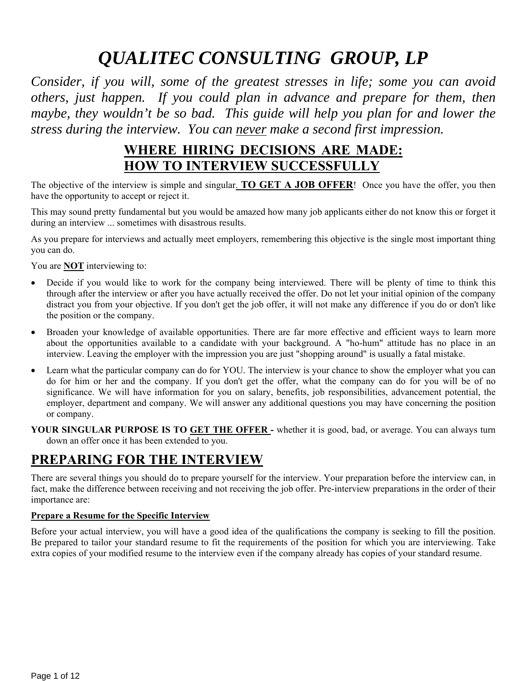# *QUALITEC CONSULTING GROUP, LP*

*Consider, if you will, some of the greatest stresses in life; some you can avoid others, just happen. If you could plan in advance and prepare for them, then maybe, they wouldn't be so bad. This guide will help you plan for and lower the stress during the interview. You can never make a second first impression.*

## **WHERE HIRING DECISIONS ARE MADE: HOW TO INTERVIEW SUCCESSFULLY**

The objective of the interview is simple and singular. **TO GET A JOB OFFER**! Once you have the offer, you then have the opportunity to accept or reject it.

This may sound pretty fundamental but you would be amazed how many job applicants either do not know this or forget it during an interview ... sometimes with disastrous results.

As you prepare for interviews and actually meet employers, remembering this objective is the single most important thing you can do.

You are **NOT** interviewing to:

- Decide if you would like to work for the company being interviewed. There will be plenty of time to think this through after the interview or after you have actually received the offer. Do not let your initial opinion of the company distract you from your objective. If you don't get the job offer, it will not make any difference if you do or don't like the position or the company.
- Broaden your knowledge of available opportunities. There are far more effective and efficient ways to learn more about the opportunities available to a candidate with your background. A "ho-hum" attitude has no place in an interview. Leaving the employer with the impression you are just "shopping around" is usually a fatal mistake.
- Learn what the particular company can do for YOU. The interview is your chance to show the employer what you can do for him or her and the company. If you don't get the offer, what the company can do for you will be of no significance. We will have information for you on salary, benefits, job responsibilities, advancement potential, the employer, department and company. We will answer any additional questions you may have concerning the position or company.
- **YOUR SINGULAR PURPOSE IS TO GET THE OFFER** whether it is good, bad, or average. You can always turn down an offer once it has been extended to you.

## **PREPARING FOR THE INTERVIEW**

There are several things you should do to prepare yourself for the interview. Your preparation before the interview can, in fact, make the difference between receiving and not receiving the job offer. Pre-interview preparations in the order of their importance are:

## **Prepare a Resume for the Specific Interview**

Before your actual interview, you will have a good idea of the qualifications the company is seeking to fill the position. Be prepared to tailor your standard resume to fit the requirements of the position for which you are interviewing. Take extra copies of your modified resume to the interview even if the company already has copies of your standard resume.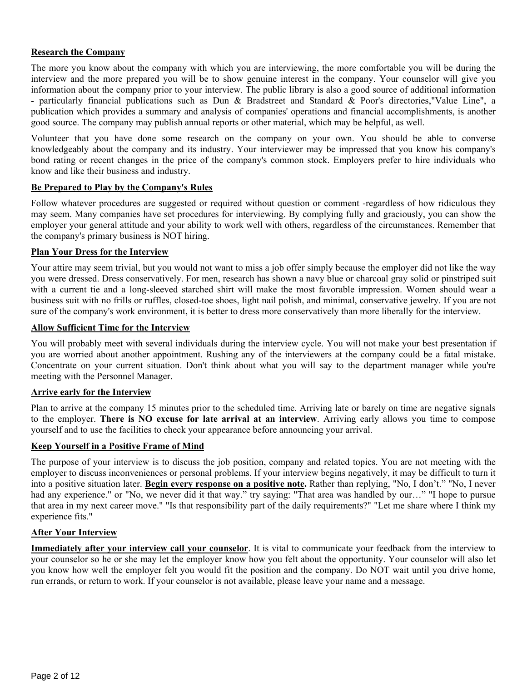#### **Research the Company**

The more you know about the company with which you are interviewing, the more comfortable you will be during the interview and the more prepared you will be to show genuine interest in the company. Your counselor will give you information about the company prior to your interview. The public library is also a good source of additional information - particularly financial publications such as Dun & Bradstreet and Standard & Poor's directories, "Value Line", a publication which provides a summary and analysis of companies' operations and financial accomplishments, is another good source. The company may publish annual reports or other material, which may be helpful, as well.

Volunteer that you have done some research on the company on your own. You should be able to converse knowledgeably about the company and its industry. Your interviewer may be impressed that you know his company's bond rating or recent changes in the price of the company's common stock. Employers prefer to hire individuals who know and like their business and industry.

#### **Be Prepared to Play by the Company's Rules**

Follow whatever procedures are suggested or required without question or comment -regardless of how ridiculous they may seem. Many companies have set procedures for interviewing. By complying fully and graciously, you can show the employer your general attitude and your ability to work well with others, regardless of the circumstances. Remember that the company's primary business is NOT hiring.

#### **Plan Your Dress for the Interview**

Your attire may seem trivial, but you would not want to miss a job offer simply because the employer did not like the way you were dressed. Dress conservatively. For men, research has shown a navy blue or charcoal gray solid or pinstriped suit with a current tie and a long-sleeved starched shirt will make the most favorable impression. Women should wear a business suit with no frills or ruffles, closed-toe shoes, light nail polish, and minimal, conservative jewelry. If you are not sure of the company's work environment, it is better to dress more conservatively than more liberally for the interview.

#### **Allow Sufficient Time for the Interview**

You will probably meet with several individuals during the interview cycle. You will not make your best presentation if you are worried about another appointment. Rushing any of the interviewers at the company could be a fatal mistake. Concentrate on your current situation. Don't think about what you will say to the department manager while you're meeting with the Personnel Manager.

#### **Arrive early for the Interview**

Plan to arrive at the company 15 minutes prior to the scheduled time. Arriving late or barely on time are negative signals to the employer. **There is NO excuse for late arrival at an interview**. Arriving early allows you time to compose yourself and to use the facilities to check your appearance before announcing your arrival.

#### **Keep Yourself in a Positive Frame of Mind**

The purpose of your interview is to discuss the job position, company and related topics. You are not meeting with the employer to discuss inconveniences or personal problems. If your interview begins negatively, it may be difficult to turn it into a positive situation later. **Begin every response on a positive note.** Rather than replying, "No, I don't." "No, I never had any experience." or "No, we never did it that way." try saying: "That area was handled by our..." "I hope to pursue that area in my next career move." "Is that responsibility part of the daily requirements?" "Let me share where I think my experience fits."

#### **After Your Interview**

**Immediately after your interview call your counselor**. It is vital to communicate your feedback from the interview to your counselor so he or she may let the employer know how you felt about the opportunity. Your counselor will also let you know how well the employer felt you would fit the position and the company. Do NOT wait until you drive home, run errands, or return to work. If your counselor is not available, please leave your name and a message.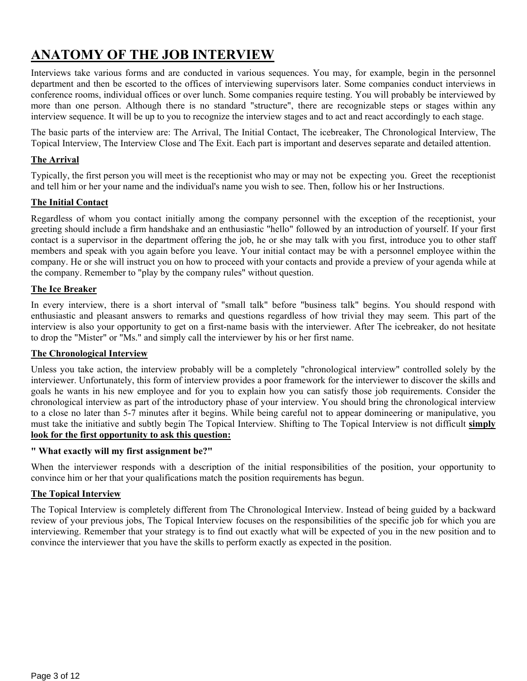## **ANATOMY OF THE JOB INTERVIEW**

Interviews take various forms and are conducted in various sequences. You may, for example, begin in the personnel department and then be escorted to the offices of interviewing supervisors later. Some companies conduct interviews in conference rooms, individual offices or over lunch. Some companies require testing. You will probably be interviewed by more than one person. Although there is no standard "structure", there are recognizable steps or stages within any interview sequence. It will be up to you to recognize the interview stages and to act and react accordingly to each stage.

The basic parts of the interview are: The Arrival, The Initial Contact, The icebreaker, The Chronological Interview, The Topical Interview, The Interview Close and The Exit. Each part is important and deserves separate and detailed attention.

## **The Arrival**

Typically, the first person you will meet is the receptionist who may or may not be expecting you. Greet the receptionist and tell him or her your name and the individual's name you wish to see. Then, follow his or her Instructions.

#### **The Initial Contact**

Regardless of whom you contact initially among the company personnel with the exception of the receptionist, your greeting should include a firm handshake and an enthusiastic "hello" followed by an introduction of yourself. If your first contact is a supervisor in the department offering the job, he or she may talk with you first, introduce you to other staff members and speak with you again before you leave. Your initial contact may be with a personnel employee within the company. He or she will instruct you on how to proceed with your contacts and provide a preview of your agenda while at the company. Remember to "play by the company rules" without question.

#### **The Ice Breaker**

In every interview, there is a short interval of "small talk" before "business talk" begins. You should respond with enthusiastic and pleasant answers to remarks and questions regardless of how trivial they may seem. This part of the interview is also your opportunity to get on a first-name basis with the interviewer. After The icebreaker, do not hesitate to drop the "Mister" or "Ms." and simply call the interviewer by his or her first name.

#### **The Chronological Interview**

Unless you take action, the interview probably will be a completely "chronological interview" controlled solely by the interviewer. Unfortunately, this form of interview provides a poor framework for the interviewer to discover the skills and goals he wants in his new employee and for you to explain how you can satisfy those job requirements. Consider the chronological interview as part of the introductory phase of your interview. You should bring the chronological interview to a close no later than 5-7 minutes after it begins. While being careful not to appear domineering or manipulative, you must take the initiative and subtly begin The Topical Interview. Shifting to The Topical Interview is not difficult **simply look for the first opportunity to ask this question:** 

#### **" What exactly will my first assignment be?"**

When the interviewer responds with a description of the initial responsibilities of the position, your opportunity to convince him or her that your qualifications match the position requirements has begun.

#### **The Topical Interview**

The Topical Interview is completely different from The Chronological Interview. Instead of being guided by a backward review of your previous jobs, The Topical Interview focuses on the responsibilities of the specific job for which you are interviewing. Remember that your strategy is to find out exactly what will be expected of you in the new position and to convince the interviewer that you have the skills to perform exactly as expected in the position.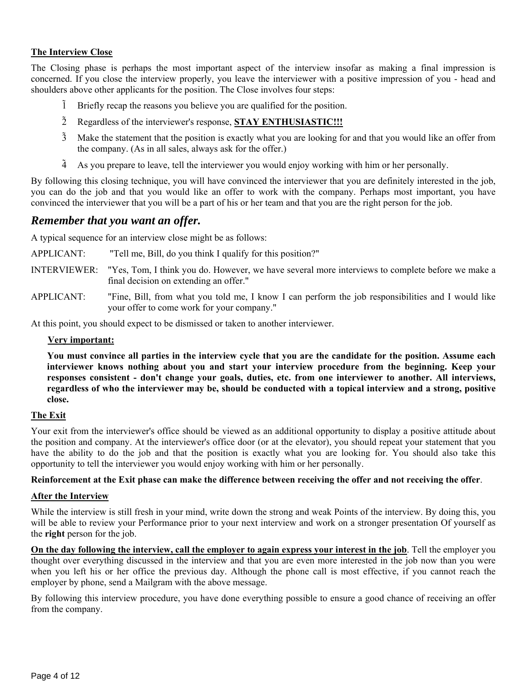#### **The Interview Close**

The Closing phase is perhaps the most important aspect of the interview insofar as making a final impression is concerned. If you close the interview properly, you leave the interviewer with a positive impression of you - head and shoulders above other applicants for the position. The Close involves four steps:

- 1 Briefly recap the reasons you believe you are qualified for the position.
- 2 Regardless of the interviewer's response, **STAY ENTHUSIASTIC!!!**
- 3 Make the statement that the position is exactly what you are looking for and that you would like an offer from the company. (As in all sales, always ask for the offer.)
- $4$  As you prepare to leave, tell the interviewer you would enjoy working with him or her personally.

By following this closing technique, you will have convinced the interviewer that you are definitely interested in the job, you can do the job and that you would like an offer to work with the company. Perhaps most important, you have convinced the interviewer that you will be a part of his or her team and that you are the right person for the job.

## *Remember that you want an offer.*

A typical sequence for an interview close might be as follows:

APPLICANT: "Tell me, Bill, do you think I qualify for this position?"

- INTERVIEWER: "Yes, Tom, I think you do. However, we have several more interviews to complete before we make a final decision on extending an offer."
- APPLICANT: "Fine, Bill, from what you told me, I know I can perform the job responsibilities and I would like your offer to come work for your company."

At this point, you should expect to be dismissed or taken to another interviewer.

#### **Very important:**

**You must convince all parties in the interview cycle that you are the candidate for the position. Assume each interviewer knows nothing about you and start your interview procedure from the beginning. Keep your responses consistent - don't change your goals, duties, etc. from one interviewer to another. All interviews, regardless of who the interviewer may be, should be conducted with a topical interview and a strong, positive close.** 

#### **The Exit**

Your exit from the interviewer's office should be viewed as an additional opportunity to display a positive attitude about the position and company. At the interviewer's office door (or at the elevator), you should repeat your statement that you have the ability to do the job and that the position is exactly what you are looking for. You should also take this opportunity to tell the interviewer you would enjoy working with him or her personally.

#### **Reinforcement at the Exit phase can make the difference between receiving the offer and not receiving the offer**.

#### **After the Interview**

While the interview is still fresh in your mind, write down the strong and weak Points of the interview. By doing this, you will be able to review your Performance prior to your next interview and work on a stronger presentation Of yourself as the **right** person for the job.

**On the day following the interview, call the employer to again express your interest in the job**. Tell the employer you thought over everything discussed in the interview and that you are even more interested in the job now than you were when you left his or her office the previous day. Although the phone call is most effective, if you cannot reach the employer by phone, send a Mailgram with the above message.

By following this interview procedure, you have done everything possible to ensure a good chance of receiving an offer from the company.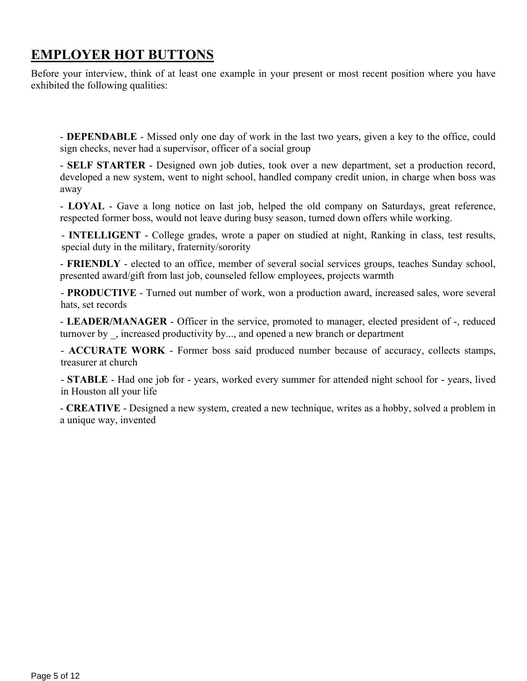## **EMPLOYER HOT BUTTONS**

Before your interview, think of at least one example in your present or most recent position where you have exhibited the following qualities:

- **DEPENDABLE** - Missed only one day of work in the last two years, given a key to the office, could sign checks, never had a supervisor, officer of a social group

- **SELF STARTER** - Designed own job duties, took over a new department, set a production record, developed a new system, went to night school, handled company credit union, in charge when boss was away

- **LOYAL** - Gave a long notice on last job, helped the old company on Saturdays, great reference, respected former boss, would not leave during busy season, turned down offers while working.

- **INTELLIGENT** - College grades, wrote a paper on studied at night, Ranking in class, test results, special duty in the military, fraternity/sorority

- **FRIENDLY** - elected to an office, member of several social services groups, teaches Sunday school, presented award/gift from last job, counseled fellow employees, projects warmth

- **PRODUCTIVE** - Turned out number of work, won a production award, increased sales, wore several hats, set records

- **LEADER/MANAGER** - Officer in the service, promoted to manager, elected president of -, reduced turnover by, increased productivity by..., and opened a new branch or department

- **ACCURATE WORK** - Former boss said produced number because of accuracy, collects stamps, treasurer at church

- **STABLE** - Had one job for - years, worked every summer for attended night school for - years, lived in Houston all your life

- **CREATIVE** - Designed a new system, created a new technique, writes as a hobby, solved a problem in a unique way, invented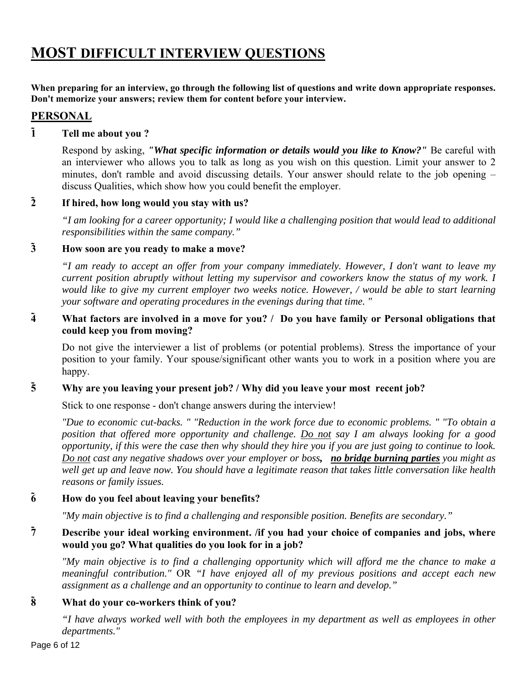## **MOST DIFFICULT INTERVIEW QUESTIONS**

**When preparing for an interview, go through the following list of questions and write down appropriate responses. Don't memorize your answers; review them for content before your interview.** 

## **PERSONAL**

## **1 Tell me about you ?**

Respond by asking, *"What specific information or details would you like to Know?"* Be careful with an interviewer who allows you to talk as long as you wish on this question. Limit your answer to 2 minutes, don't ramble and avoid discussing details. Your answer should relate to the job opening – discuss Qualities, which show how you could benefit the employer.

## **2 If hired, how long would you stay with us?**

*"I am looking for a career opportunity; I would like a challenging position that would lead to additional responsibilities within the same company."* 

## **3 How soon are you ready to make a move?**

*"I am ready to accept an offer from your company immediately. However, I don't want to leave my current position abruptly without letting my supervisor and coworkers know the status of my work. I would like to give my current employer two weeks notice. However, / would be able to start learning your software and operating procedures in the evenings during that time. "* 

## **4 What factors are involved in a move for you? / Do you have family or Personal obligations that could keep you from moving?**

Do not give the interviewer a list of problems (or potential problems). Stress the importance of your position to your family. Your spouse/significant other wants you to work in a position where you are happy.

## **5 Why are you leaving your present job? / Why did you leave your most recent job?**

Stick to one response - don't change answers during the interview!

*"Due to economic cut-backs. " "Reduction in the work force due to economic problems. " "To obtain a position that offered more opportunity and challenge. Do not say I am always looking for a good opportunity, if this were the case then why should they hire you if you are just going to continue to look. Do not cast any negative shadows over your employer or boss, no bridge burning parties you might as well get up and leave now. You should have a legitimate reason that takes little conversation like health reasons or family issues.* 

## **6 How do you feel about leaving your benefits?**

*"My main objective is to find a challenging and responsible position. Benefits are secondary."* 

## **7 Describe your ideal working environment. /if you had your choice of companies and jobs, where would you go? What qualities do you look for in a job?**

*"My main objective is to find a challenging opportunity which will afford me the chance to make a meaningful contribution."* OR *"I have enjoyed all of my previous positions and accept each new assignment as a challenge and an opportunity to continue to learn and develop."* 

## **8 What do your co-workers think of you?**

*"I have always worked well with both the employees in my department as well as employees in other departments."*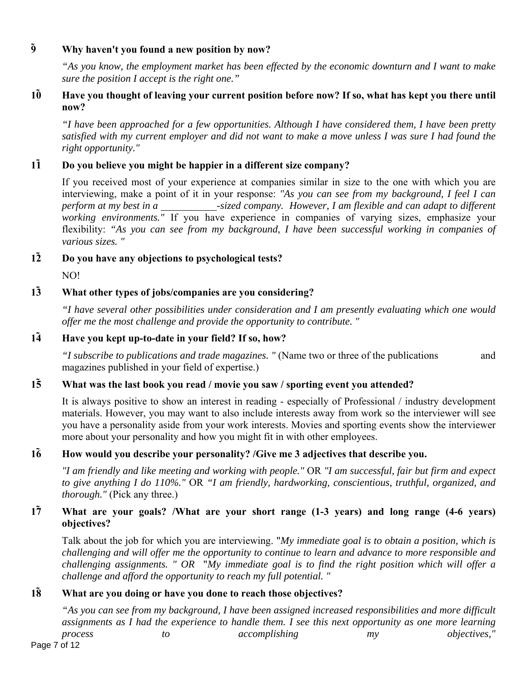## **9 Why haven't you found a new position by now?**

*"As you know, the employment market has been effected by the economic downturn and I want to make sure the position I accept is the right one."* 

## **10 Have you thought of leaving your current position before now? If so, what has kept you there until now?**

*"I have been approached for a few opportunities. Although I have considered them, I have been pretty satisfied with my current employer and did not want to make a move unless I was sure I had found the right opportunity."* 

## **11 Do you believe you might be happier in a different size company?**

If you received most of your experience at companies similar in size to the one with which you are interviewing, make a point of it in your response: *"As you can see from my background, I feel I can perform at my best in a* \_\_\_\_\_\_\_\_\_\_\_\_\_-sized company. However, I am flexible and can adapt to different *working environments."* If you have experience in companies of varying sizes, emphasize your flexibility: *"As you can see from my background, I have been successful working in companies of various sizes. "* 

**12 Do you have any objections to psychological tests?** 

NO!

## **13 What other types of jobs/companies are you considering?**

*"I have several other possibilities under consideration and I am presently evaluating which one would offer me the most challenge and provide the opportunity to contribute. "* 

## **14 Have you kept up-to-date in your field? If so, how?**

*"I subscribe to publications and trade magazines. "* (Name two or three of the publications and magazines published in your field of expertise.)

## **15 What was the last book you read / movie you saw / sporting event you attended?**

It is always positive to show an interest in reading - especially of Professional / industry development materials. However, you may want to also include interests away from work so the interviewer will see you have a personality aside from your work interests. Movies and sporting events show the interviewer more about your personality and how you might fit in with other employees.

## **16 How would you describe your personality? /Give me 3 adjectives that describe you.**

*"I am friendly and like meeting and working with people."* OR *"I am successful, fair but firm and expect to give anything I do 110%."* OR *"I am friendly, hardworking, conscientious, truthful, organized, and thorough."* (Pick any three.)

## **17 What are your goals? /What are your short range (1-3 years) and long range (4-6 years) objectives?**

Talk about the job for which you are interviewing. "*My immediate goal is to obtain a position, which is challenging and will offer me the opportunity to continue to learn and advance to more responsible and challenging assignments. " OR* "*My immediate goal is to find the right position which will offer a challenge and afford the opportunity to reach my full potential. "* 

## **18 What are you doing or have you done to reach those objectives?**

*"As you can see from my background, I have been assigned increased responsibilities and more difficult assignments as I had the experience to handle them. I see this next opportunity as one more learning process to accomplishing my objectives,"*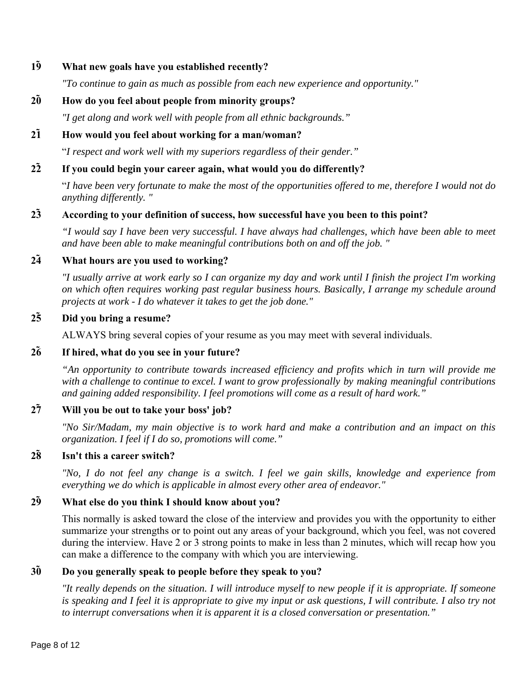### **19 What new goals have you established recently?**

*"To continue to gain as much as possible from each new experience and opportunity."* 

## **20 How do you feel about people from minority groups?**

*"I get along and work well with people from all ethnic backgrounds."* 

## **21 How would you feel about working for a man/woman?**

"*I respect and work well with my superiors regardless of their gender."* 

## **22 If you could begin your career again, what would you do differently?**

"*I have been very fortunate to make the most of the opportunities offered to me, therefore I would not do anything differently. "* 

## **23 According to your definition of success, how successful have you been to this point?**

*"I would say I have been very successful. I have always had challenges, which have been able to meet and have been able to make meaningful contributions both on and off the job. "* 

### **24 What hours are you used to working?**

*"I usually arrive at work early so I can organize my day and work until I finish the project I'm working on which often requires working past regular business hours. Basically, I arrange my schedule around projects at work - I do whatever it takes to get the job done."* 

## **25 Did you bring a resume?**

ALWAYS bring several copies of your resume as you may meet with several individuals.

### **26 If hired, what do you see in your future?**

*"An opportunity to contribute towards increased efficiency and profits which in turn will provide me with a challenge to continue to excel. I want to grow professionally by making meaningful contributions and gaining added responsibility. I feel promotions will come as a result of hard work."* 

#### **27 Will you be out to take your boss' job?**

*"No Sir/Madam, my main objective is to work hard and make a contribution and an impact on this organization. I feel if I do so, promotions will come."* 

## **28 Isn't this a career switch?**

*"No, I do not feel any change is a switch. I feel we gain skills, knowledge and experience from everything we do which is applicable in almost every other area of endeavor."* 

## **29 What else do you think I should know about you?**

This normally is asked toward the close of the interview and provides you with the opportunity to either summarize your strengths or to point out any areas of your background, which you feel, was not covered during the interview. Have 2 or 3 strong points to make in less than 2 minutes, which will recap how you can make a difference to the company with which you are interviewing.

## **30 Do you generally speak to people before they speak to you?**

*"It really depends on the situation. I will introduce myself to new people if it is appropriate. If someone is speaking and I feel it is appropriate to give my input or ask questions, I will contribute. I also try not to interrupt conversations when it is apparent it is a closed conversation or presentation."*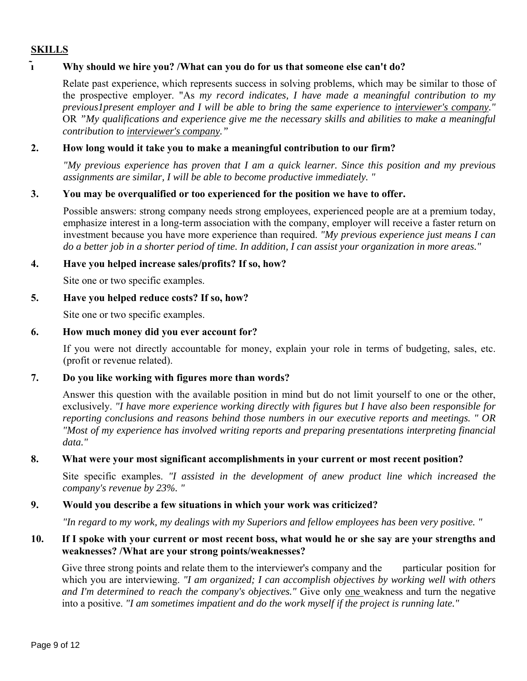## **SKILLS**

## **Why should we hire you? /What can you do for us that someone else can't do?**

Relate past experience, which represents success in solving problems, which may be similar to those of the prospective employer. "As *my record indicates, I have made a meaningful contribution to my previous1present employer and I will be able to bring the same experience to interviewer's company."*  OR *"My qualifications and experience give me the necessary skills and abilities to make a meaningful contribution to interviewer's company."* 

## **2. How long would it take you to make a meaningful contribution to our firm?**

*"My previous experience has proven that I am a quick learner. Since this position and my previous assignments are similar, I will be able to become productive immediately. "* 

#### **3. You may be overqualified or too experienced for the position we have to offer.**

Possible answers: strong company needs strong employees, experienced people are at a premium today, emphasize interest in a long-term association with the company, employer will receive a faster return on investment because you have more experience than required. *"My previous experience just means I can do a better job in a shorter period of time. In addition, I can assist your organization in more areas."* 

#### **4. Have you helped increase sales/profits? If so, how?**

Site one or two specific examples.

#### **5. Have you helped reduce costs? If so, how?**

Site one or two specific examples.

#### **6. How much money did you ever account for?**

If you were not directly accountable for money, explain your role in terms of budgeting, sales, etc. (profit or revenue related).

#### **7. Do you like working with figures more than words?**

Answer this question with the available position in mind but do not limit yourself to one or the other, exclusively. *"I have more experience working directly with figures but I have also been responsible for reporting conclusions and reasons behind those numbers in our executive reports and meetings. " OR "Most of my experience has involved writing reports and preparing presentations interpreting financial data."* 

#### **8. What were your most significant accomplishments in your current or most recent position?**

Site specific examples. *"I assisted in the development of anew product line which increased the company's revenue by 23%. "* 

#### **9. Would you describe a few situations in which your work was criticized?**

*"In regard to my work, my dealings with my Superiors and fellow employees has been very positive. "* 

## **10. If I spoke with your current or most recent boss, what would he or she say are your strengths and weaknesses? /What are your strong points/weaknesses?**

Give three strong points and relate them to the interviewer's company and the particular position for which you are interviewing. *"I am organized; I can accomplish objectives by working well with others and I'm determined to reach the company's objectives."* Give only one weakness and turn the negative into a positive. *"I am sometimes impatient and do the work myself if the project is running late."*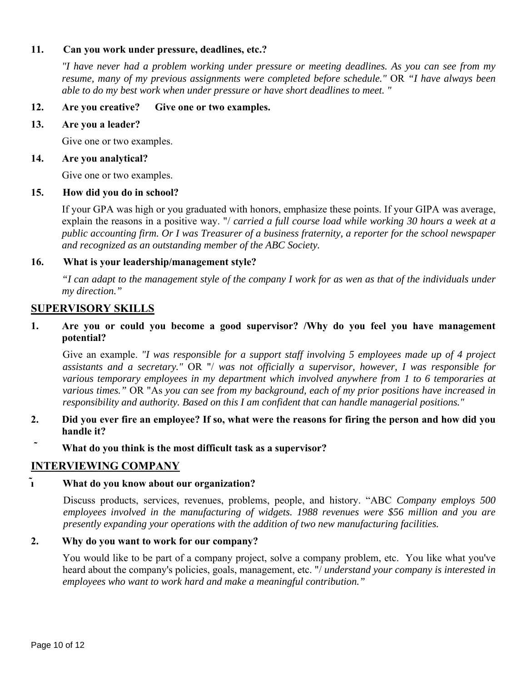## **11. Can you work under pressure, deadlines, etc.?**

*"I have never had a problem working under pressure or meeting deadlines. As you can see from my resume, many of my previous assignments were completed before schedule."* OR *"I have always been able to do my best work when under pressure or have short deadlines to meet. "* 

#### **12. Are you creative? Give one or two examples.**

#### **13. Are you a leader?**

Give one or two examples.

#### **14. Are you analytical?**

Give one or two examples.

#### **15. How did you do in school?**

If your GPA was high or you graduated with honors, emphasize these points. If your GIPA was average, explain the reasons in a positive way. "/ *carried a full course load while working 30 hours a week at a public accounting firm. Or I was Treasurer of a business fraternity, a reporter for the school newspaper and recognized as an outstanding member of the ABC Society.* 

#### **16. What is your leadership/management style?**

*"I can adapt to the management style of the company I work for as wen as that of the individuals under my direction."* 

#### **SUPERVISORY SKILLS**

### **1. Are you or could you become a good supervisor? /Why do you feel you have management potential?**

Give an example. *"I was responsible for a support staff involving 5 employees made up of 4 project assistants and a secretary."* OR "/ *was not officially a supervisor, however, I was responsible for various temporary employees in my department which involved anywhere from 1 to 6 temporaries at various times."* OR "As *you can see from my background, each of my prior positions have increased in responsibility and authority. Based on this I am confident that can handle managerial positions."* 

- **2. Did you ever fire an employee? If so, what were the reasons for firing the person and how did you handle it?**
- **What do you think is the most difficult task as a supervisor?**

## **INTERVIEWING COMPANY**

## **What do you know about our organization?**

Discuss products, services, revenues, problems, people, and history. "ABC *Company employs 500 employees involved in the manufacturing of widgets. 1988 revenues were \$56 million and you are presently expanding your operations with the addition of two new manufacturing facilities.* 

#### **2. Why do you want to work for our company?**

You would like to be part of a company project, solve a company problem, etc. You like what you've heard about the company's policies, goals, management, etc. "/ *understand your company is interested in employees who want to work hard and make a meaningful contribution."*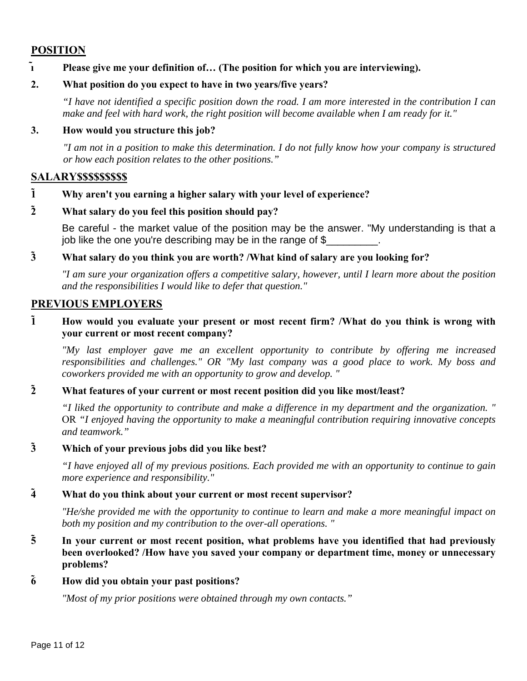## **POSITION**

### **Please give me your definition of… (The position for which you are interviewing).**

### **2. What position do you expect to have in two years/five years?**

*"I have not identified a specific position down the road. I am more interested in the contribution I can make and feel with hard work, the right position will become available when I am ready for it."* 

#### **3. How would you structure this job?**

*"I am not in a position to make this determination. I do not fully know how your company is structured or how each position relates to the other positions."* 

## **SALARY\$\$\$\$\$\$\$\$\$**

- **1 Why aren't you earning a higher salary with your level of experience?**
- **2 What salary do you feel this position should pay?**

Be careful - the market value of the position may be the answer. "My understanding is that a job like the one you're describing may be in the range of \$

## **3 What salary do you think you are worth? /What kind of salary are you looking for?**

*"I am sure your organization offers a competitive salary, however, until I learn more about the position and the responsibilities I would like to defer that question."* 

#### **PREVIOUS EMPLOYERS**

## **1 How would you evaluate your present or most recent firm? /What do you think is wrong with your current or most recent company?**

*"My last employer gave me an excellent opportunity to contribute by offering me increased responsibilities and challenges." OR "My last company was a good place to work. My boss and coworkers provided me with an opportunity to grow and develop. "* 

## **2 What features of your current or most recent position did you like most/least?**

*"I liked the opportunity to contribute and make a difference in my department and the organization. "*  OR *"I enjoyed having the opportunity to make a meaningful contribution requiring innovative concepts and teamwork."* 

#### **3 Which of your previous jobs did you like best?**

*"I have enjoyed all of my previous positions. Each provided me with an opportunity to continue to gain more experience and responsibility."* 

#### **4 What do you think about your current or most recent supervisor?**

*"He/she provided me with the opportunity to continue to learn and make a more meaningful impact on both my position and my contribution to the over-all operations. "* 

**5 In your current or most recent position, what problems have you identified that had previously been overlooked? /How have you saved your company or department time, money or unnecessary problems?** 

#### **6 How did you obtain your past positions?**

*"Most of my prior positions were obtained through my own contacts."*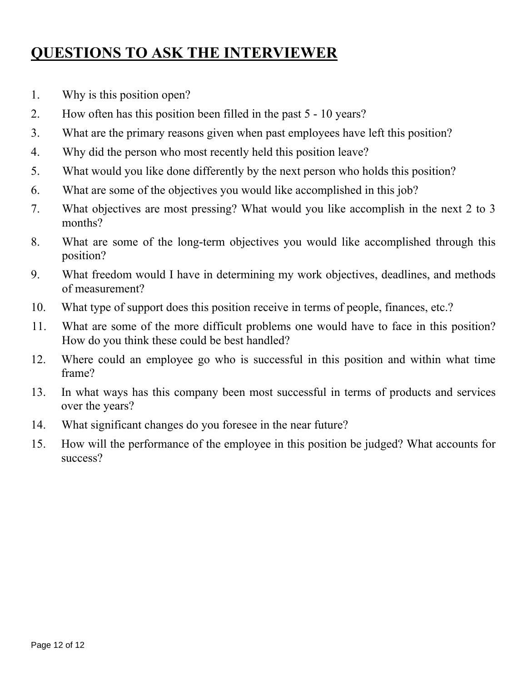## **QUESTIONS TO ASK THE INTERVIEWER**

- 1. Why is this position open?
- 2. How often has this position been filled in the past 5 10 years?
- 3. What are the primary reasons given when past employees have left this position?
- 4. Why did the person who most recently held this position leave?
- 5. What would you like done differently by the next person who holds this position?
- 6. What are some of the objectives you would like accomplished in this job?
- 7. What objectives are most pressing? What would you like accomplish in the next 2 to 3 months?
- 8. What are some of the long-term objectives you would like accomplished through this position?
- 9. What freedom would I have in determining my work objectives, deadlines, and methods of measurement?
- 10. What type of support does this position receive in terms of people, finances, etc.?
- 11. What are some of the more difficult problems one would have to face in this position? How do you think these could be best handled?
- 12. Where could an employee go who is successful in this position and within what time frame?
- 13. In what ways has this company been most successful in terms of products and services over the years?
- 14. What significant changes do you foresee in the near future?
- 15. How will the performance of the employee in this position be judged? What accounts for success?